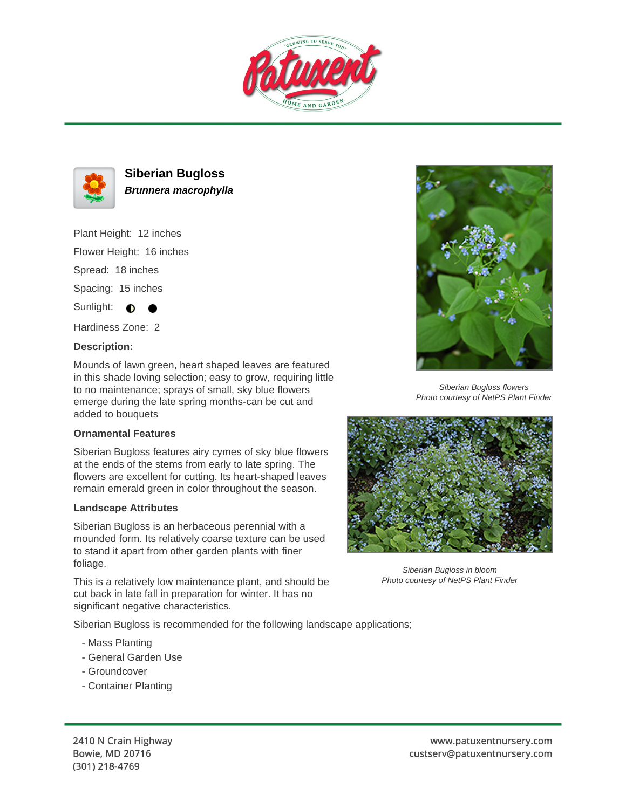



# **Siberian Bugloss Brunnera macrophylla**

Plant Height: 12 inches Flower Height: 16 inches Spread: 18 inches Spacing: 15 inches Sunlight:  $\bigcirc$ 

Hardiness Zone: 2

### **Description:**

Mounds of lawn green, heart shaped leaves are featured in this shade loving selection; easy to grow, requiring little to no maintenance; sprays of small, sky blue flowers emerge during the late spring months-can be cut and added to bouquets

#### **Ornamental Features**

Siberian Bugloss features airy cymes of sky blue flowers at the ends of the stems from early to late spring. The flowers are excellent for cutting. Its heart-shaped leaves remain emerald green in color throughout the season.

#### **Landscape Attributes**

Siberian Bugloss is an herbaceous perennial with a mounded form. Its relatively coarse texture can be used to stand it apart from other garden plants with finer foliage.

This is a relatively low maintenance plant, and should be cut back in late fall in preparation for winter. It has no significant negative characteristics.

Siberian Bugloss is recommended for the following landscape applications;

- Mass Planting
- General Garden Use
- Groundcover
- Container Planting



Siberian Bugloss flowers Photo courtesy of NetPS Plant Finder



Siberian Bugloss in bloom Photo courtesy of NetPS Plant Finder